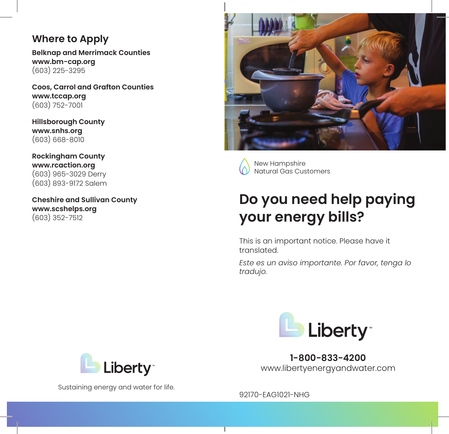#### **Where to Apply**

**Belknap and Merrimack Counties www.bm-cap.org** (603) 225-3295

**Coos, Carrol and Grafton Counties www.tccap.org** (603) 752-7001

**Hillsborough County www.snhs.org** (603) 668-8010

**Rockingham County www.rcaction.org** (603) 965-3029 Derry (603) 893-9172 Salem

**Cheshire and Sullivan County www.scshelps.org** (603) 352-7512



New Hampshire Natural Gas Customers

# **Do you need help paying your energy bills?**

This is an important notice. Please have it translated.

*Este es un aviso importante. Por favor, tenga lo tradujo.*



**1-800-833-4200** www.libertyenergyandwater.com



Sustaining energy and water for life.

92170-EAG1021-NHG